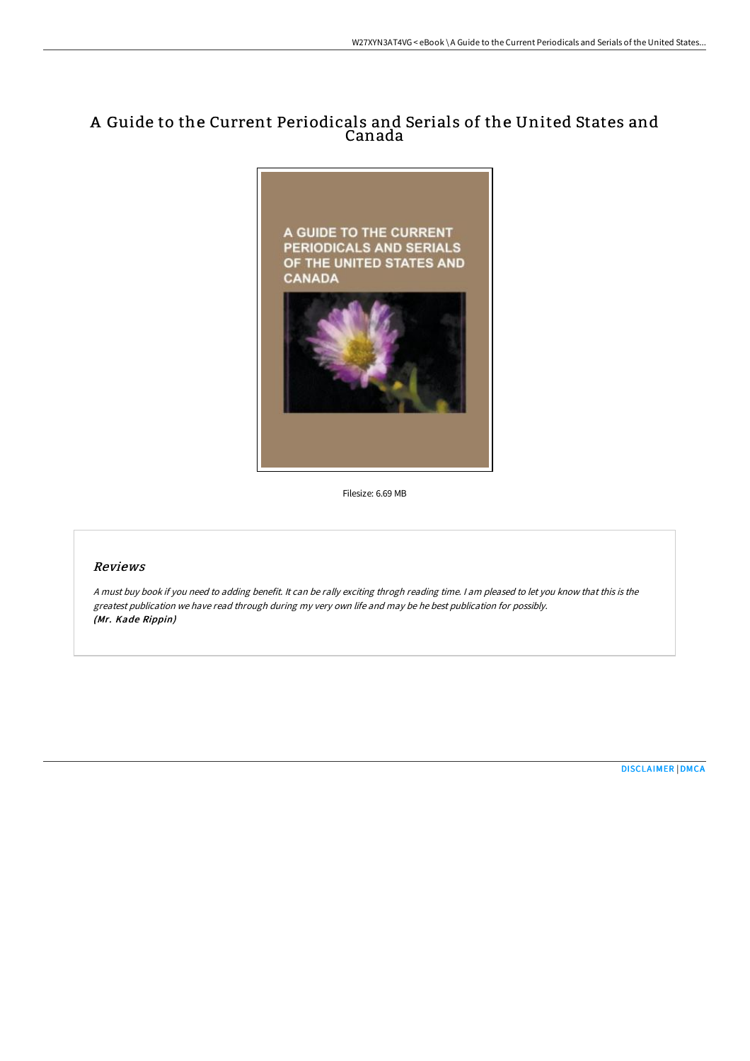## A Guide to the Current Periodicals and Serials of the United States and Canada



Filesize: 6.69 MB

## Reviews

<sup>A</sup> must buy book if you need to adding benefit. It can be rally exciting throgh reading time. <sup>I</sup> am pleased to let you know that this is the greatest publication we have read through during my very own life and may be he best publication for possibly. (Mr. Kade Rippin)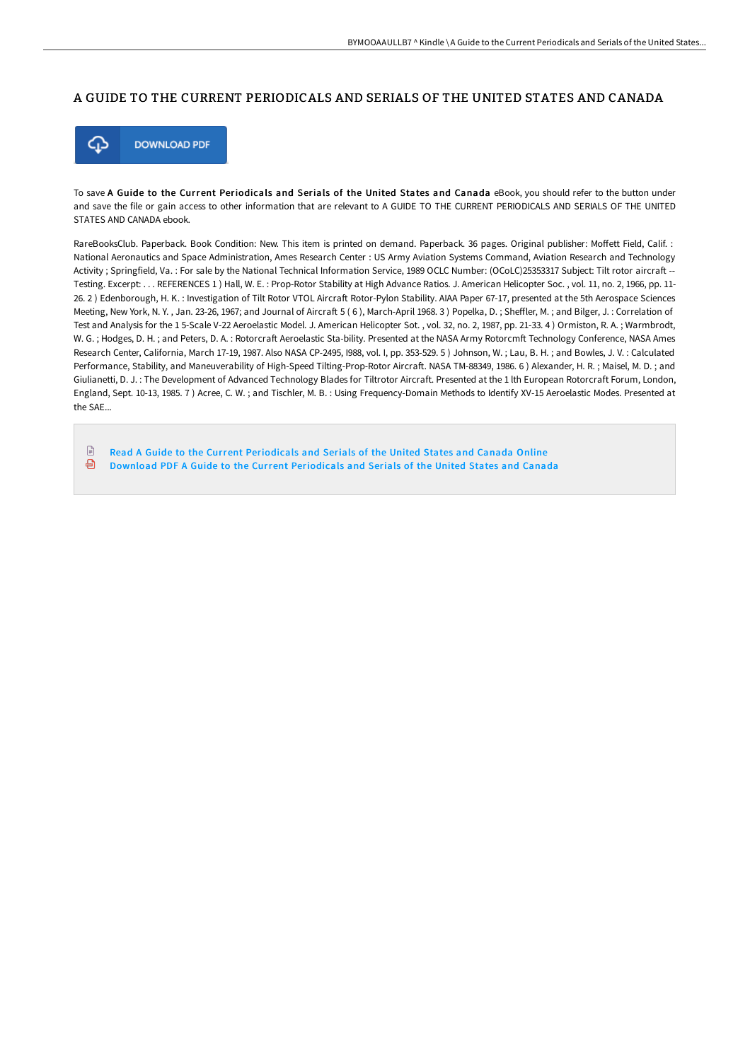## A GUIDE TO THE CURRENT PERIODICALS AND SERIALS OF THE UNITED STATES AND CANADA



To save A Guide to the Current Periodicals and Serials of the United States and Canada eBook, you should refer to the button under and save the file or gain access to other information that are relevant to A GUIDE TO THE CURRENT PERIODICALS AND SERIALS OF THE UNITED STATES AND CANADA ebook.

RareBooksClub. Paperback. Book Condition: New. This item is printed on demand. Paperback. 36 pages. Original publisher: Moffett Field, Calif. : National Aeronautics and Space Administration, Ames Research Center : US Army Aviation Systems Command, Aviation Research and Technology Activity ; Springfield, Va. : For sale by the National Technical Information Service, 1989 OCLC Number: (OCoLC)25353317 Subject: Tilt rotor aircraft --Testing. Excerpt: . . . REFERENCES 1 ) Hall, W. E. : Prop-Rotor Stability at High Advance Ratios. J. American Helicopter Soc. , vol. 11, no. 2, 1966, pp. 11- 26. 2) Edenborough, H. K.: Investigation of Tilt Rotor VTOL Aircraft Rotor-Pylon Stability. AIAA Paper 67-17, presented at the 5th Aerospace Sciences Meeting, New York, N. Y. , Jan. 23-26, 1967; and Journal of Aircraft 5 (6), March-April 1968. 3) Popelka, D.; Sheffler, M.; and Bilger, J.: Correlation of Test and Analysis for the 1 5-Scale V-22 Aeroelastic Model. J. American Helicopter Sot. , vol. 32, no. 2, 1987, pp. 21-33. 4 ) Ormiston, R. A. ; Warmbrodt, W. G.; Hodges, D. H.; and Peters, D. A.: Rotorcraft Aeroelastic Sta-bility. Presented at the NASA Army Rotorcmft Technology Conference, NASA Ames Research Center, California, March 17-19, 1987. Also NASA CP-2495, I988, vol. I, pp. 353-529. 5 ) Johnson, W. ; Lau, B. H. ; and Bowles, J. V. : Calculated Performance, Stability, and Maneuverability of High-Speed Tilting-Prop-Rotor Aircraft. NASA TM-88349, 1986. 6) Alexander, H. R.; Maisel, M. D.; and Giulianetti, D. J. : The Development of Advanced Technology Blades for Tiltrotor Aircraft. Presented at the 1 lth European Rotorcraft Forum, London, England, Sept. 10-13, 1985. 7 ) Acree, C. W. ; and Tischler, M. B. : Using Frequency-Domain Methods to Identify XV-15 Aeroelastic Modes. Presented at the SAE...

 $\mathbb{R}$ Read A Guide to the Current [Periodicals](http://techno-pub.tech/a-guide-to-the-current-periodicals-and-serials-o.html) and Serials of the United States and Canada Online ଈ Download PDF A Guide to the Current [Periodicals](http://techno-pub.tech/a-guide-to-the-current-periodicals-and-serials-o.html) and Serials of the United States and Canada